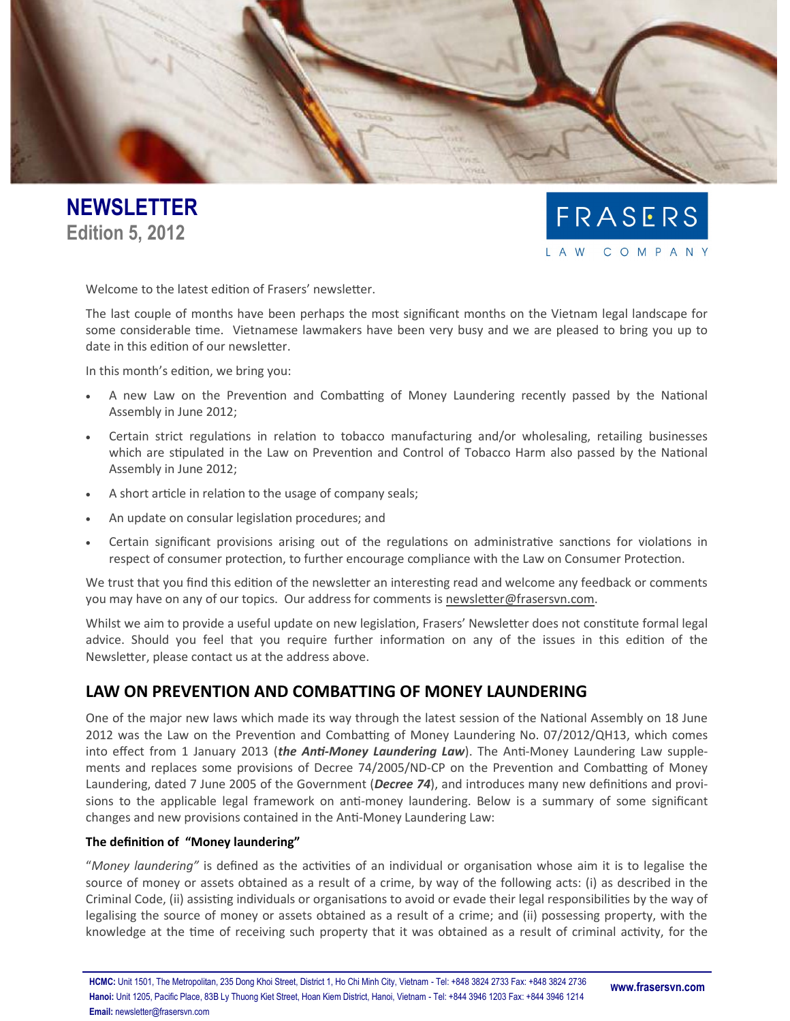



Welcome to the latest edition of Frasers' newsletter.

The last couple of months have been perhaps the most significant months on the Vietnam legal landscape for some considerable time. Vietnamese lawmakers have been very busy and we are pleased to bring you up to date in this edition of our newsletter.

In this month's edition, we bring you:

- A new Law on the Prevention and Combatting of Money Laundering recently passed by the National Assembly in June 2012;
- Certain strict regulations in relation to tobacco manufacturing and/or wholesaling, retailing businesses which are stipulated in the Law on Prevention and Control of Tobacco Harm also passed by the National Assembly in June 2012;
- A short article in relation to the usage of company seals;
- An update on consular legislation procedures; and
- Certain significant provisions arising out of the regulations on administrative sanctions for violations in respect of consumer protection, to further encourage compliance with the Law on Consumer Protection.

We trust that you find this edition of the newsletter an interesting read and welcome any feedback or comments you may have on any of our topics. Our address for comments is [newsletter@frasersvn.com.](mailto:newsletter@frasersvn.com)

Whilst we aim to provide a useful update on new legislation, Frasers' Newsletter does not constitute formal legal advice. Should you feel that you require further information on any of the issues in this edition of the Newsletter, please contact us at the address above.

# **LAW ON PREVENTION AND COMBATTING OF MONEY LAUNDERING**

One of the major new laws which made its way through the latest session of the National Assembly on 18 June 2012 was the Law on the Prevention and Combatting of Money Laundering No. 07/2012/QH13, which comes into effect from 1 January 2013 (*the Anti-Money Laundering Law*). The Anti-Money Laundering Law supplements and replaces some provisions of Decree 74/2005/ND-CP on the Prevention and Combatting of Money Laundering, dated 7 June 2005 of the Government (*Decree 74*), and introduces many new definitions and provisions to the applicable legal framework on anti-money laundering. Below is a summary of some significant changes and new provisions contained in the Anti-Money Laundering Law:

# **The definition of "Money laundering"**

"*Money laundering"* is defined as the activities of an individual or organisation whose aim it is to legalise the source of money or assets obtained as a result of a crime, by way of the following acts: (i) as described in the Criminal Code, (ii) assisting individuals or organisations to avoid or evade their legal responsibilities by the way of legalising the source of money or assets obtained as a result of a crime; and (ii) possessing property, with the knowledge at the time of receiving such property that it was obtained as a result of criminal activity, for the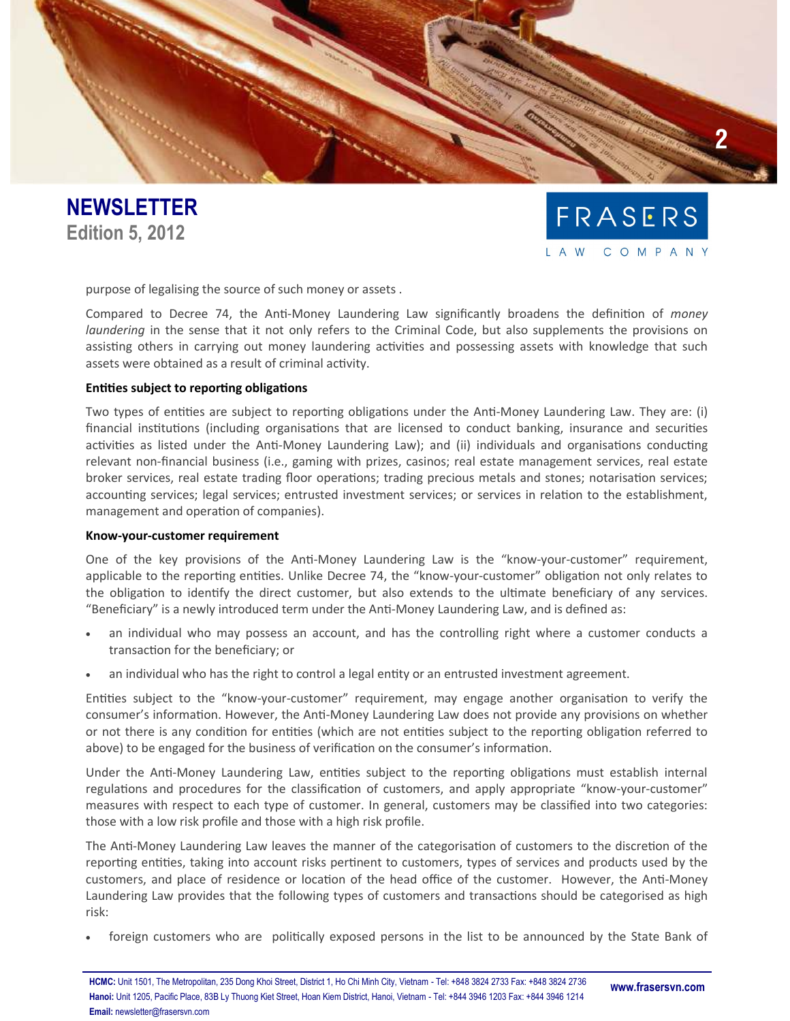



purpose of legalising the source of such money or assets .

Compared to Decree 74, the Anti-Money Laundering Law significantly broadens the definition of *money laundering* in the sense that it not only refers to the Criminal Code, but also supplements the provisions on assisting others in carrying out money laundering activities and possessing assets with knowledge that such assets were obtained as a result of criminal activity.

## **Entities subject to reporting obligations**

Two types of entities are subject to reporting obligations under the Anti-Money Laundering Law. They are: (i) financial institutions (including organisations that are licensed to conduct banking, insurance and securities activities as listed under the Anti-Money Laundering Law); and (ii) individuals and organisations conducting relevant non-financial business (i.e., gaming with prizes, casinos; real estate management services, real estate broker services, real estate trading floor operations; trading precious metals and stones; notarisation services; accounting services; legal services; entrusted investment services; or services in relation to the establishment, management and operation of companies).

#### **Know-your-customer requirement**

One of the key provisions of the Anti-Money Laundering Law is the "know-your-customer" requirement, applicable to the reporting entities. Unlike Decree 74, the "know-your-customer" obligation not only relates to the obligation to identify the direct customer, but also extends to the ultimate beneficiary of any services. "Beneficiary" is a newly introduced term under the Anti-Money Laundering Law, and is defined as:

- an individual who may possess an account, and has the controlling right where a customer conducts a transaction for the beneficiary; or
- an individual who has the right to control a legal entity or an entrusted investment agreement.

Entities subject to the "know-your-customer" requirement, may engage another organisation to verify the consumer's information. However, the Anti-Money Laundering Law does not provide any provisions on whether or not there is any condition for entities (which are not entities subject to the reporting obligation referred to above) to be engaged for the business of verification on the consumer's information.

Under the Anti-Money Laundering Law, entities subject to the reporting obligations must establish internal regulations and procedures for the classification of customers, and apply appropriate "know-your-customer" measures with respect to each type of customer. In general, customers may be classified into two categories: those with a low risk profile and those with a high risk profile.

The Anti-Money Laundering Law leaves the manner of the categorisation of customers to the discretion of the reporting entities, taking into account risks pertinent to customers, types of services and products used by the customers, and place of residence or location of the head office of the customer. However, the Anti-Money Laundering Law provides that the following types of customers and transactions should be categorised as high risk:

foreign customers who are politically exposed persons in the list to be announced by the State Bank of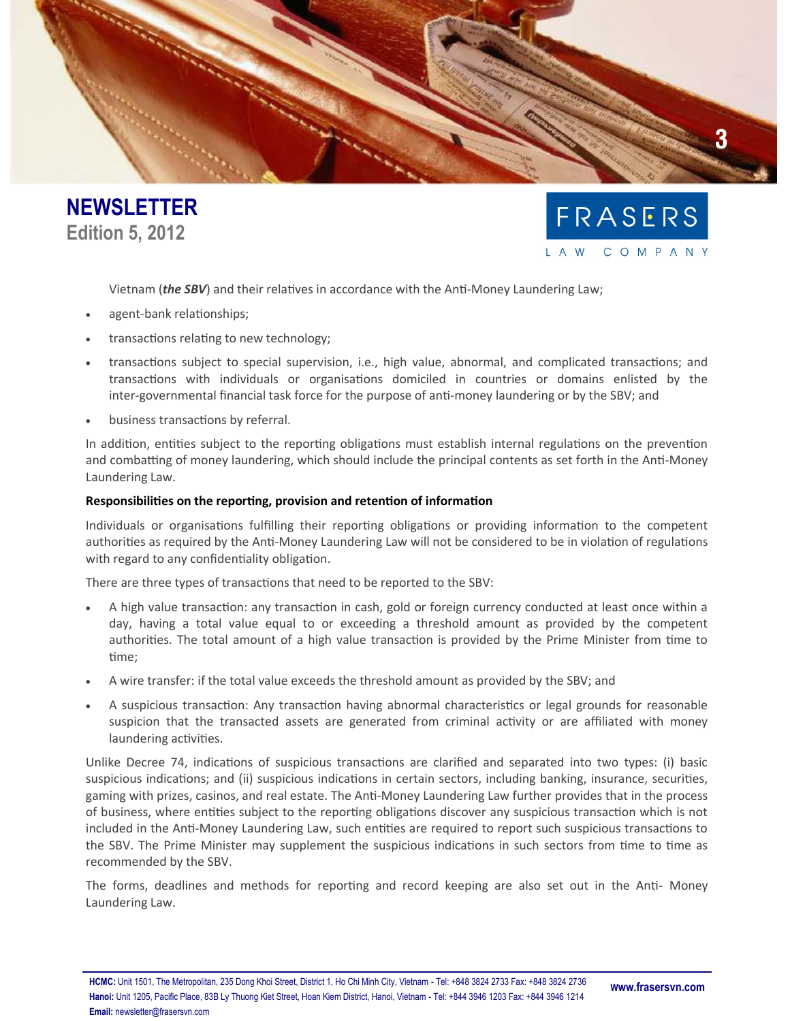



Vietnam (*the SBV*) and their relatives in accordance with the Anti-Money Laundering Law;

- agent-bank relationships;
- transactions relating to new technology;
- transactions subject to special supervision, i.e., high value, abnormal, and complicated transactions; and transactions with individuals or organisations domiciled in countries or domains enlisted by the inter-governmental financial task force for the purpose of anti-money laundering or by the SBV; and
- business transactions by referral.

In addition, entities subject to the reporting obligations must establish internal regulations on the prevention and combatting of money laundering, which should include the principal contents as set forth in the Anti-Money Laundering Law.

## **Responsibilities on the reporting, provision and retention of information**

Individuals or organisations fulfilling their reporting obligations or providing information to the competent authorities as required by the Anti-Money Laundering Law will not be considered to be in violation of regulations with regard to any confidentiality obligation.

There are three types of transactions that need to be reported to the SBV:

- A high value transaction: any transaction in cash, gold or foreign currency conducted at least once within a day, having a total value equal to or exceeding a threshold amount as provided by the competent authorities. The total amount of a high value transaction is provided by the Prime Minister from time to time;
- A wire transfer: if the total value exceeds the threshold amount as provided by the SBV; and
- A suspicious transaction: Any transaction having abnormal characteristics or legal grounds for reasonable suspicion that the transacted assets are generated from criminal activity or are affiliated with money laundering activities.

Unlike Decree 74, indications of suspicious transactions are clarified and separated into two types: (i) basic suspicious indications; and (ii) suspicious indications in certain sectors, including banking, insurance, securities, gaming with prizes, casinos, and real estate. The Anti-Money Laundering Law further provides that in the process of business, where entities subject to the reporting obligations discover any suspicious transaction which is not included in the Anti-Money Laundering Law, such entities are required to report such suspicious transactions to the SBV. The Prime Minister may supplement the suspicious indications in such sectors from time to time as recommended by the SBV.

The forms, deadlines and methods for reporting and record keeping are also set out in the Anti- Money Laundering Law.

**HCMC:** Unit 1501, The Metropolitan, 235 Dong Khoi Street, District 1, Ho Chi Minh City, Vietnam - Tel: +848 3824 2733 Fax: +848 3824 2736 **Hanoi:** Unit 1205, Pacific Place, 83B Ly Thuong Kiet Street, Hoan Kiem District, Hanoi, Vietnam - Tel: +844 3946 1203 Fax: +844 3946 1214 **Email:** newsletter@frasersvn.com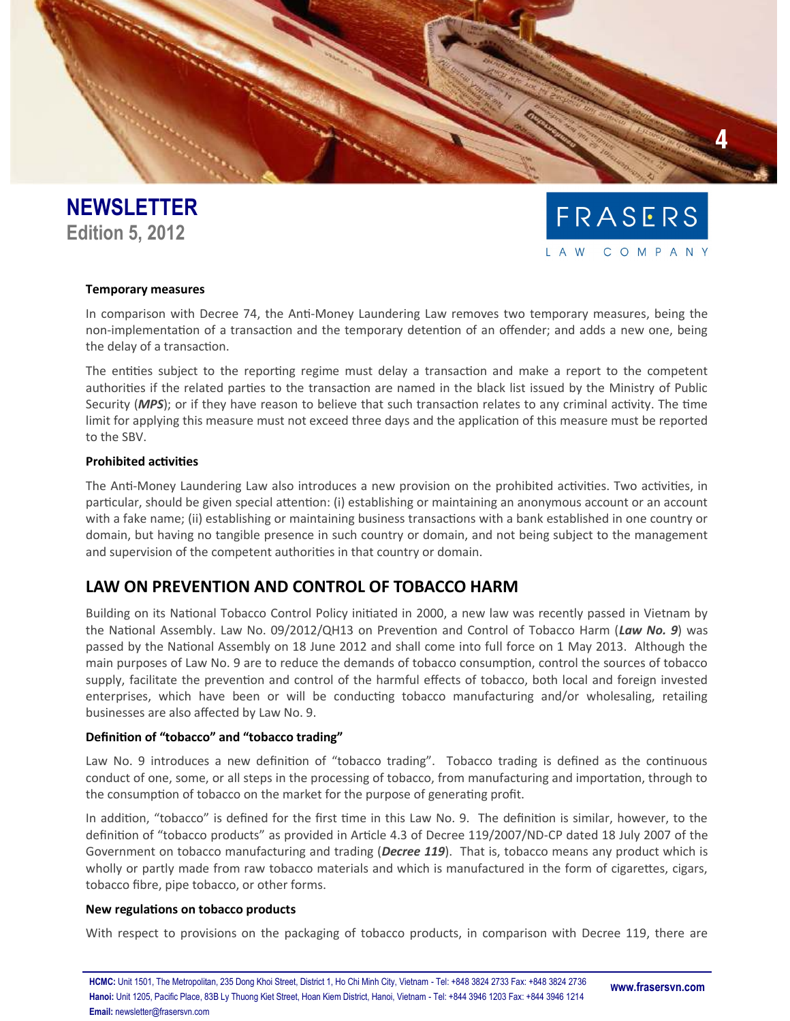



# **Temporary measures**

In comparison with Decree 74, the Anti-Money Laundering Law removes two temporary measures, being the non-implementation of a transaction and the temporary detention of an offender; and adds a new one, being the delay of a transaction.

The entities subject to the reporting regime must delay a transaction and make a report to the competent authorities if the related parties to the transaction are named in the black list issued by the Ministry of Public Security (*MPS*); or if they have reason to believe that such transaction relates to any criminal activity. The time limit for applying this measure must not exceed three days and the application of this measure must be reported to the SBV.

# **Prohibited activities**

The Anti-Money Laundering Law also introduces a new provision on the prohibited activities. Two activities, in particular, should be given special attention: (i) establishing or maintaining an anonymous account or an account with a fake name; (ii) establishing or maintaining business transactions with a bank established in one country or domain, but having no tangible presence in such country or domain, and not being subject to the management and supervision of the competent authorities in that country or domain.

# **LAW ON PREVENTION AND CONTROL OF TOBACCO HARM**

Building on its National Tobacco Control Policy initiated in 2000, a new law was recently passed in Vietnam by the National Assembly. Law No. 09/2012/QH13 on Prevention and Control of Tobacco Harm (*Law No. 9*) was passed by the National Assembly on 18 June 2012 and shall come into full force on 1 May 2013. Although the main purposes of Law No. 9 are to reduce the demands of tobacco consumption, control the sources of tobacco supply, facilitate the prevention and control of the harmful effects of tobacco, both local and foreign invested enterprises, which have been or will be conducting tobacco manufacturing and/or wholesaling, retailing businesses are also affected by Law No. 9.

# **Definition of "tobacco" and "tobacco trading"**

Law No. 9 introduces a new definition of "tobacco trading". Tobacco trading is defined as the continuous conduct of one, some, or all steps in the processing of tobacco, from manufacturing and importation, through to the consumption of tobacco on the market for the purpose of generating profit.

In addition, "tobacco" is defined for the first time in this Law No. 9. The definition is similar, however, to the definition of "tobacco products" as provided in Article 4.3 of Decree 119/2007/ND-CP dated 18 July 2007 of the Government on tobacco manufacturing and trading (*Decree 119*). That is, tobacco means any product which is wholly or partly made from raw tobacco materials and which is manufactured in the form of cigarettes, cigars, tobacco fibre, pipe tobacco, or other forms.

#### **New regulations on tobacco products**

With respect to provisions on the packaging of tobacco products, in comparison with Decree 119, there are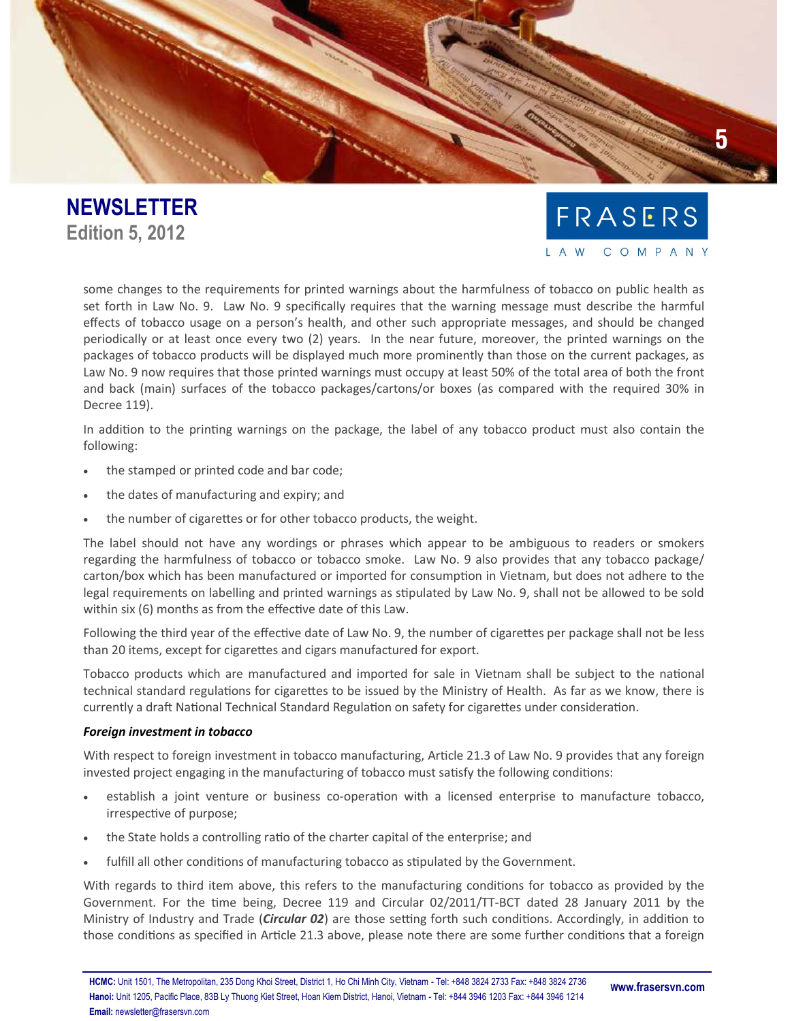



some changes to the requirements for printed warnings about the harmfulness of tobacco on public health as set forth in Law No. 9. Law No. 9 specifically requires that the warning message must describe the harmful effects of tobacco usage on a person's health, and other such appropriate messages, and should be changed periodically or at least once every two (2) years. In the near future, moreover, the printed warnings on the packages of tobacco products will be displayed much more prominently than those on the current packages, as Law No. 9 now requires that those printed warnings must occupy at least 50% of the total area of both the front and back (main) surfaces of the tobacco packages/cartons/or boxes (as compared with the required 30% in Decree 119).

In addition to the printing warnings on the package, the label of any tobacco product must also contain the following:

- the stamped or printed code and bar code;
- the dates of manufacturing and expiry; and
- the number of cigarettes or for other tobacco products, the weight.

The label should not have any wordings or phrases which appear to be ambiguous to readers or smokers regarding the harmfulness of tobacco or tobacco smoke. Law No. 9 also provides that any tobacco package/ carton/box which has been manufactured or imported for consumption in Vietnam, but does not adhere to the legal requirements on labelling and printed warnings as stipulated by Law No. 9, shall not be allowed to be sold within six (6) months as from the effective date of this Law.

Following the third year of the effective date of Law No. 9, the number of cigarettes per package shall not be less than 20 items, except for cigarettes and cigars manufactured for export.

Tobacco products which are manufactured and imported for sale in Vietnam shall be subject to the national technical standard regulations for cigarettes to be issued by the Ministry of Health. As far as we know, there is currently a draft National Technical Standard Regulation on safety for cigarettes under consideration.

#### *Foreign investment in tobacco*

With respect to foreign investment in tobacco manufacturing, Article 21.3 of Law No. 9 provides that any foreign invested project engaging in the manufacturing of tobacco must satisfy the following conditions:

- establish a joint venture or business co-operation with a licensed enterprise to manufacture tobacco, irrespective of purpose;
- the State holds a controlling ratio of the charter capital of the enterprise; and
- fulfill all other conditions of manufacturing tobacco as stipulated by the Government.

With regards to third item above, this refers to the manufacturing conditions for tobacco as provided by the Government. For the time being, Decree 119 and Circular 02/2011/TT-BCT dated 28 January 2011 by the Ministry of Industry and Trade (*Circular 02*) are those setting forth such conditions. Accordingly, in addition to those conditions as specified in Article 21.3 above, please note there are some further conditions that a foreign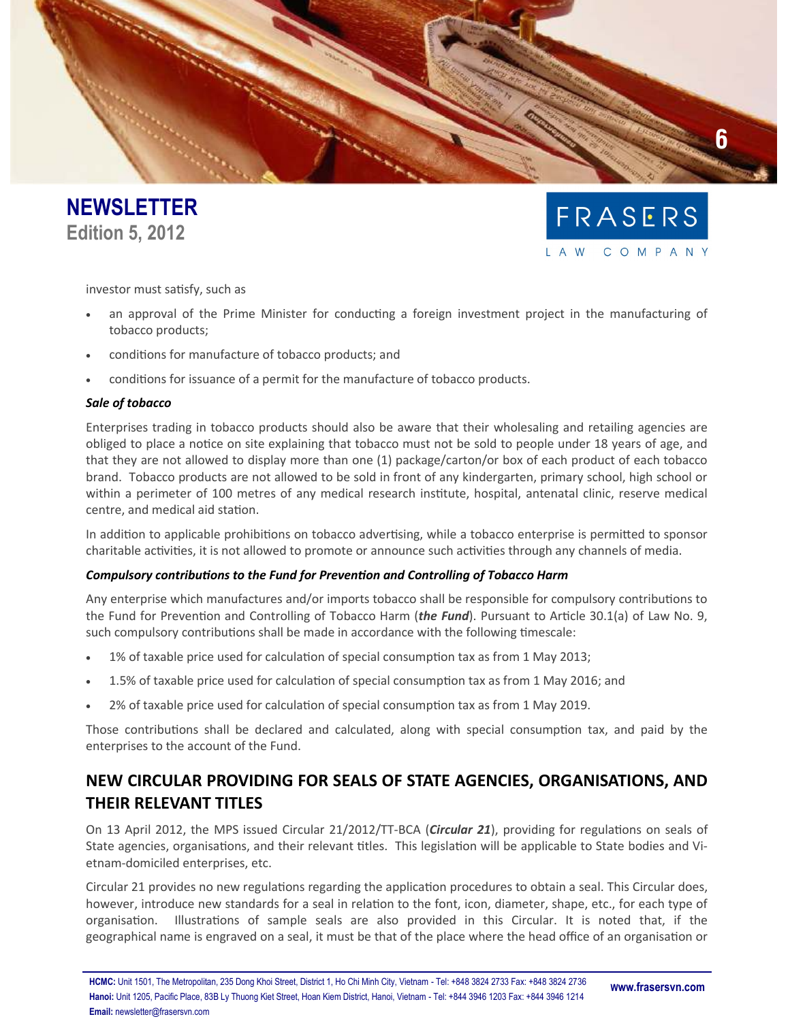



investor must satisfy, such as

- an approval of the Prime Minister for conducting a foreign investment project in the manufacturing of tobacco products;
- conditions for manufacture of tobacco products; and
- conditions for issuance of a permit for the manufacture of tobacco products.

# *Sale of tobacco*

Enterprises trading in tobacco products should also be aware that their wholesaling and retailing agencies are obliged to place a notice on site explaining that tobacco must not be sold to people under 18 years of age, and that they are not allowed to display more than one (1) package/carton/or box of each product of each tobacco brand. Tobacco products are not allowed to be sold in front of any kindergarten, primary school, high school or within a perimeter of 100 metres of any medical research institute, hospital, antenatal clinic, reserve medical centre, and medical aid station.

In addition to applicable prohibitions on tobacco advertising, while a tobacco enterprise is permitted to sponsor charitable activities, it is not allowed to promote or announce such activities through any channels of media.

# *Compulsory contributions to the Fund for Prevention and Controlling of Tobacco Harm*

Any enterprise which manufactures and/or imports tobacco shall be responsible for compulsory contributions to the Fund for Prevention and Controlling of Tobacco Harm (*the Fund*). Pursuant to Article 30.1(a) of Law No. 9, such compulsory contributions shall be made in accordance with the following timescale:

- 1% of taxable price used for calculation of special consumption tax as from 1 May 2013;
- 1.5% of taxable price used for calculation of special consumption tax as from 1 May 2016; and
- 2% of taxable price used for calculation of special consumption tax as from 1 May 2019.

Those contributions shall be declared and calculated, along with special consumption tax, and paid by the enterprises to the account of the Fund.

# **NEW CIRCULAR PROVIDING FOR SEALS OF STATE AGENCIES, ORGANISATIONS, AND THEIR RELEVANT TITLES**

On 13 April 2012, the MPS issued Circular 21/2012/TT-BCA (*Circular 21*), providing for regulations on seals of State agencies, organisations, and their relevant titles. This legislation will be applicable to State bodies and Vietnam-domiciled enterprises, etc.

Circular 21 provides no new regulations regarding the application procedures to obtain a seal. This Circular does, however, introduce new standards for a seal in relation to the font, icon, diameter, shape, etc., for each type of organisation. Illustrations of sample seals are also provided in this Circular. It is noted that, if the geographical name is engraved on a seal, it must be that of the place where the head office of an organisation or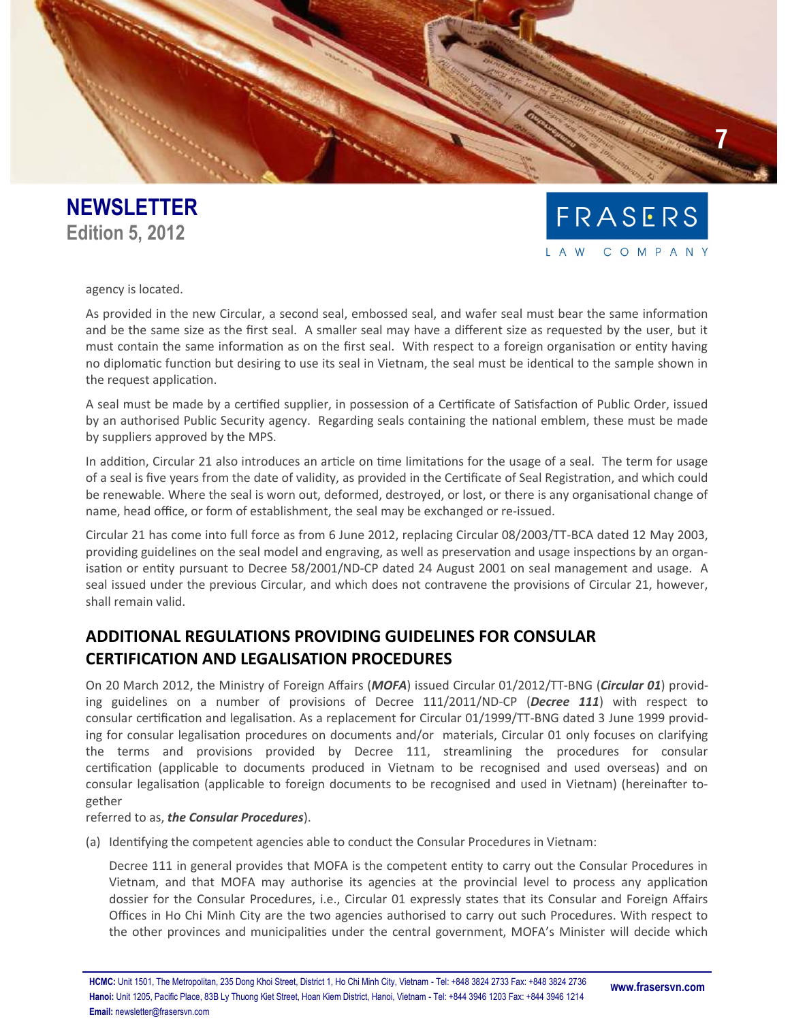



agency is located.

As provided in the new Circular, a second seal, embossed seal, and wafer seal must bear the same information and be the same size as the first seal. A smaller seal may have a different size as requested by the user, but it must contain the same information as on the first seal. With respect to a foreign organisation or entity having no diplomatic function but desiring to use its seal in Vietnam, the seal must be identical to the sample shown in the request application.

A seal must be made by a certified supplier, in possession of a Certificate of Satisfaction of Public Order, issued by an authorised Public Security agency. Regarding seals containing the national emblem, these must be made by suppliers approved by the MPS.

In addition, Circular 21 also introduces an article on time limitations for the usage of a seal. The term for usage of a seal is five years from the date of validity, as provided in the Certificate of Seal Registration, and which could be renewable. Where the seal is worn out, deformed, destroyed, or lost, or there is any organisational change of name, head office, or form of establishment, the seal may be exchanged or re-issued.

Circular 21 has come into full force as from 6 June 2012, replacing Circular 08/2003/TT-BCA dated 12 May 2003, providing guidelines on the seal model and engraving, as well as preservation and usage inspections by an organisation or entity pursuant to Decree 58/2001/ND-CP dated 24 August 2001 on seal management and usage. A seal issued under the previous Circular, and which does not contravene the provisions of Circular 21, however, shall remain valid.

# **ADDITIONAL REGULATIONS PROVIDING GUIDELINES FOR CONSULAR CERTIFICATION AND LEGALISATION PROCEDURES**

On 20 March 2012, the Ministry of Foreign Affairs (*MOFA*) issued Circular 01/2012/TT-BNG (*Circular 01*) providing guidelines on a number of provisions of Decree 111/2011/ND-CP (*Decree 111*) with respect to consular certification and legalisation. As a replacement for Circular 01/1999/TT-BNG dated 3 June 1999 providing for consular legalisation procedures on documents and/or materials, Circular 01 only focuses on clarifying the terms and provisions provided by Decree 111, streamlining the procedures for consular certification (applicable to documents produced in Vietnam to be recognised and used overseas) and on consular legalisation (applicable to foreign documents to be recognised and used in Vietnam) (hereinafter together

referred to as, *the Consular Procedures*).

(a) Identifying the competent agencies able to conduct the Consular Procedures in Vietnam:

Decree 111 in general provides that MOFA is the competent entity to carry out the Consular Procedures in Vietnam, and that MOFA may authorise its agencies at the provincial level to process any application dossier for the Consular Procedures, i.e., Circular 01 expressly states that its Consular and Foreign Affairs Offices in Ho Chi Minh City are the two agencies authorised to carry out such Procedures. With respect to the other provinces and municipalities under the central government, MOFA's Minister will decide which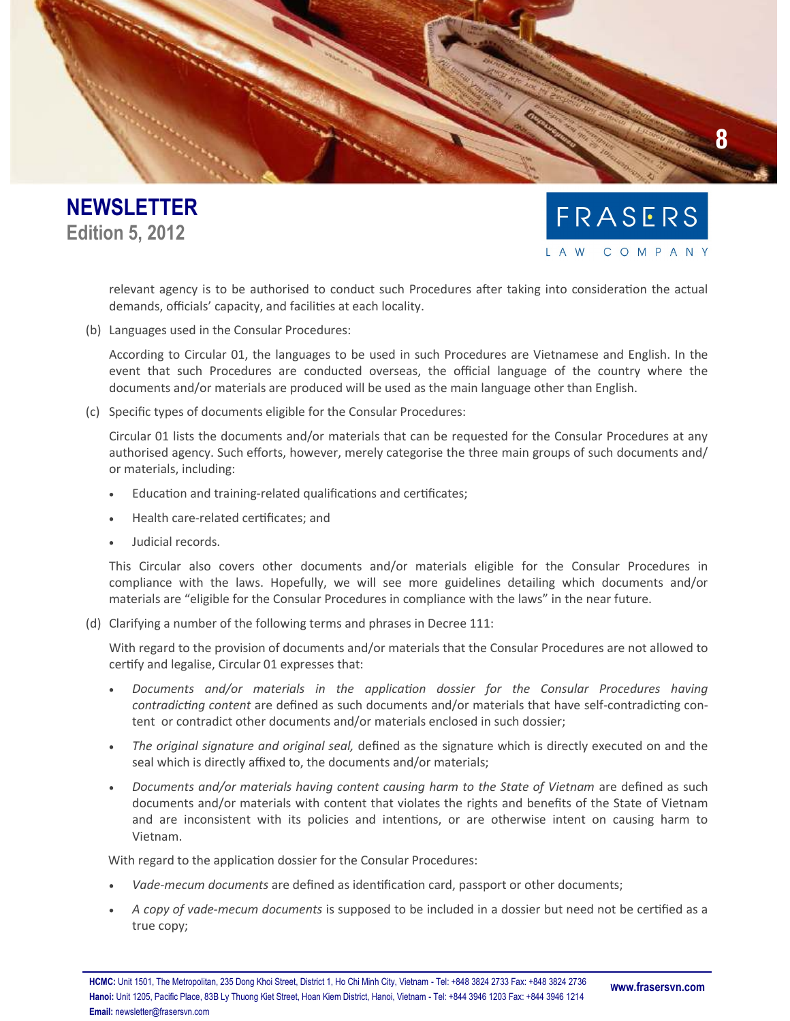



relevant agency is to be authorised to conduct such Procedures after taking into consideration the actual demands, officials' capacity, and facilities at each locality.

(b) Languages used in the Consular Procedures:

According to Circular 01, the languages to be used in such Procedures are Vietnamese and English. In the event that such Procedures are conducted overseas, the official language of the country where the documents and/or materials are produced will be used as the main language other than English.

(c) Specific types of documents eligible for the Consular Procedures:

Circular 01 lists the documents and/or materials that can be requested for the Consular Procedures at any authorised agency. Such efforts, however, merely categorise the three main groups of such documents and/ or materials, including:

- Education and training-related qualifications and certificates;
- Health care-related certificates; and
- Judicial records.

This Circular also covers other documents and/or materials eligible for the Consular Procedures in compliance with the laws. Hopefully, we will see more guidelines detailing which documents and/or materials are "eligible for the Consular Procedures in compliance with the laws" in the near future.

(d) Clarifying a number of the following terms and phrases in Decree 111:

With regard to the provision of documents and/or materials that the Consular Procedures are not allowed to certify and legalise, Circular 01 expresses that:

- *Documents and/or materials in the application dossier for the Consular Procedures having contradicting content* are defined as such documents and/or materials that have self-contradicting content or contradict other documents and/or materials enclosed in such dossier;
- *The original signature and original seal,* defined as the signature which is directly executed on and the seal which is directly affixed to, the documents and/or materials;
- *Documents and/or materials having content causing harm to the State of Vietnam are defined as such* documents and/or materials with content that violates the rights and benefits of the State of Vietnam and are inconsistent with its policies and intentions, or are otherwise intent on causing harm to Vietnam.

With regard to the application dossier for the Consular Procedures:

- *Vade-mecum documents* are defined as identification card, passport or other documents;
- *A copy of vade-mecum documents* is supposed to be included in a dossier but need not be certified as a true copy;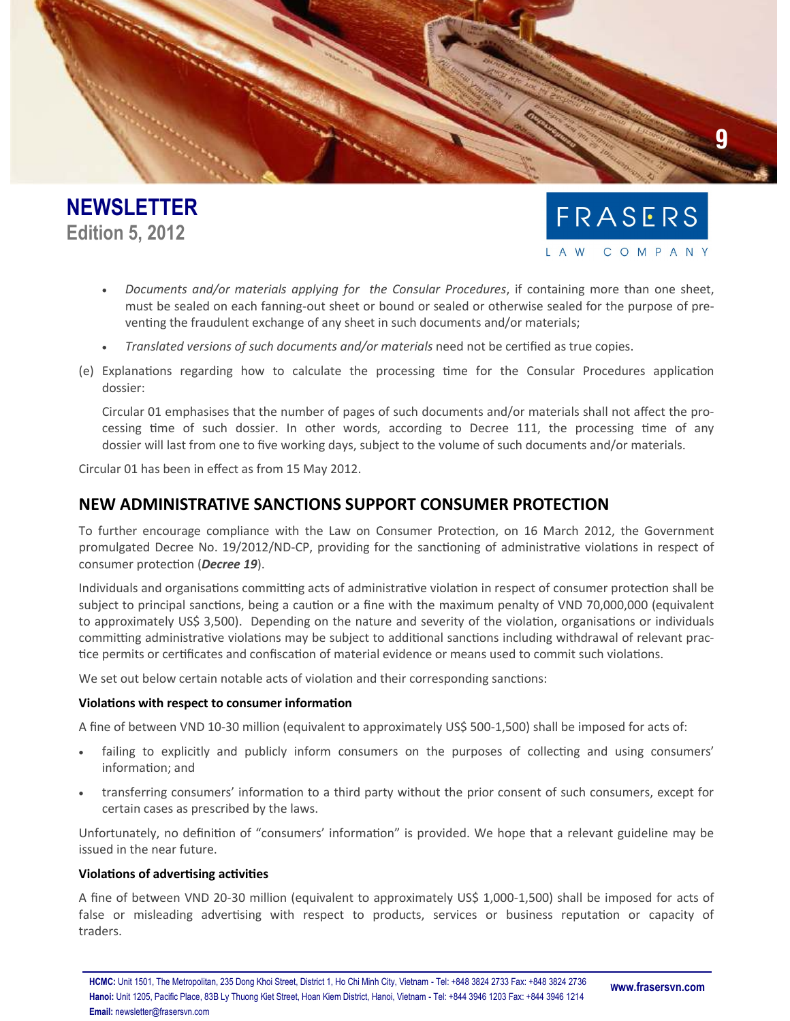



- *Documents and/or materials applying for the Consular Procedures*, if containing more than one sheet, must be sealed on each fanning-out sheet or bound or sealed or otherwise sealed for the purpose of preventing the fraudulent exchange of any sheet in such documents and/or materials;
- *Translated versions of such documents and/or materials* need not be certified as true copies.
- (e) Explanations regarding how to calculate the processing time for the Consular Procedures application dossier:

Circular 01 emphasises that the number of pages of such documents and/or materials shall not affect the processing time of such dossier. In other words, according to Decree 111, the processing time of any dossier will last from one to five working days, subject to the volume of such documents and/or materials.

Circular 01 has been in effect as from 15 May 2012.

# **NEW ADMINISTRATIVE SANCTIONS SUPPORT CONSUMER PROTECTION**

To further encourage compliance with the Law on Consumer Protection, on 16 March 2012, the Government promulgated Decree No. 19/2012/ND-CP, providing for the sanctioning of administrative violations in respect of consumer protection (*Decree 19*).

Individuals and organisations committing acts of administrative violation in respect of consumer protection shall be subject to principal sanctions, being a caution or a fine with the maximum penalty of VND 70,000,000 (equivalent to approximately US\$ 3,500). Depending on the nature and severity of the violation, organisations or individuals committing administrative violations may be subject to additional sanctions including withdrawal of relevant practice permits or certificates and confiscation of material evidence or means used to commit such violations.

We set out below certain notable acts of violation and their corresponding sanctions:

#### **Violations with respect to consumer information**

A fine of between VND 10-30 million (equivalent to approximately US\$ 500-1,500) shall be imposed for acts of:

- failing to explicitly and publicly inform consumers on the purposes of collecting and using consumers' information; and
- transferring consumers' information to a third party without the prior consent of such consumers, except for certain cases as prescribed by the laws.

Unfortunately, no definition of "consumers' information" is provided. We hope that a relevant guideline may be issued in the near future.

#### **Violations of advertising activities**

A fine of between VND 20-30 million (equivalent to approximately US\$ 1,000-1,500) shall be imposed for acts of false or misleading advertising with respect to products, services or business reputation or capacity of traders.